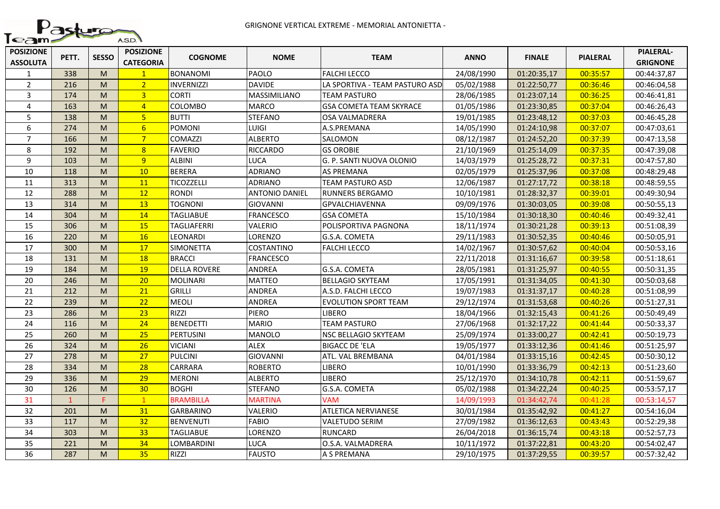

| <b>POSIZIONE</b><br><b>ASSOLUTA</b> | PETT.        | <b>SESSO</b> | <b>POSIZIONE</b><br><b>CATEGORIA</b> | <b>COGNOME</b>      | <b>NOME</b>           | <b>TEAM</b>                    | <b>ANNO</b> | <b>FINALE</b> | <b>PIALERAL</b> | <b>PIALERAL-</b><br><b>GRIGNONE</b> |
|-------------------------------------|--------------|--------------|--------------------------------------|---------------------|-----------------------|--------------------------------|-------------|---------------|-----------------|-------------------------------------|
| $\mathbf{1}$                        | 338          | M            | $\mathbf{1}$                         | <b>BONANOMI</b>     | PAOLO                 | <b>FALCHI LECCO</b>            | 24/08/1990  | 01:20:35,17   | 00:35:57        | 00:44:37,87                         |
| $\overline{2}$                      | 216          | M            | 2 <sup>1</sup>                       | <b>INVERNIZZI</b>   | <b>DAVIDE</b>         | LA SPORTIVA - TEAM PASTURO ASD | 05/02/1988  | 01:22:50,77   | 00:36:46        | 00:46:04,58                         |
| $\overline{3}$                      | 174          | M            | $\overline{3}$                       | <b>CORTI</b>        | MASSIMILIANO          | <b>TEAM PASTURO</b>            | 28/06/1985  | 01:23:07,14   | 00:36:25        | 00:46:41,81                         |
| 4                                   | 163          | M            | $\overline{4}$                       | COLOMBO             | <b>MARCO</b>          | <b>GSA COMETA TEAM SKYRACE</b> | 01/05/1986  | 01:23:30,85   | 00:37:04        | 00:46:26,43                         |
| 5                                   | 138          | M            | 5 <sup>1</sup>                       | <b>BUTTI</b>        | <b>STEFANO</b>        | OSA VALMADRERA                 | 19/01/1985  | 01:23:48,12   | 00:37:03        | 00:46:45,28                         |
| $\boldsymbol{6}$                    | 274          | M            | $6\overline{6}$                      | <b>POMONI</b>       | LUIGI                 | A.S.PREMANA                    | 14/05/1990  | 01:24:10,98   | 00:37:07        | 00:47:03,61                         |
| $\overline{7}$                      | 166          | M            | 7 <sup>2</sup>                       | <b>COMAZZI</b>      | <b>ALBERTO</b>        | SALOMON                        | 08/12/1987  | 01:24:52,20   | 00:37:39        | 00:47:13,58                         |
| 8                                   | 192          | M            | 8                                    | <b>FAVERIO</b>      | <b>RICCARDO</b>       | <b>GS OROBIE</b>               | 21/10/1969  | 01:25:14,09   | 00:37:35        | 00:47:39,08                         |
| 9                                   | 103          | M            | 9                                    | <b>ALBINI</b>       | LUCA                  | G. P. SANTI NUOVA OLONIO       | 14/03/1979  | 01:25:28,72   | 00:37:31        | 00:47:57,80                         |
| 10                                  | 118          | M            | 10                                   | <b>BERERA</b>       | <b>ADRIANO</b>        | <b>AS PREMANA</b>              | 02/05/1979  | 01:25:37,96   | 00:37:08        | 00:48:29,48                         |
| 11                                  | 313          | M            | 11                                   | <b>TICOZZELLI</b>   | <b>ADRIANO</b>        | TEAM PASTURO ASD               | 12/06/1987  | 01:27:17,72   | 00:38:18        | 00:48:59,55                         |
| 12                                  | 288          | M            | 12                                   | <b>RONDI</b>        | <b>ANTONIO DANIEL</b> | RUNNERS BERGAMO                | 10/10/1981  | 01:28:32,37   | 00:39:01        | 00:49:30,94                         |
| 13                                  | 314          | M            | 13                                   | <b>TOGNONI</b>      | <b>GIOVANNI</b>       | <b>GPVALCHIAVENNA</b>          | 09/09/1976  | 01:30:03,05   | 00:39:08        | 00:50:55,13                         |
| 14                                  | 304          | M            | 14                                   | <b>TAGLIABUE</b>    | <b>FRANCESCO</b>      | <b>GSA COMETA</b>              | 15/10/1984  | 01:30:18,30   | 00:40:46        | 00:49:32,41                         |
| 15                                  | 306          | M            | 15                                   | TAGLIAFERRI         | VALERIO               | POLISPORTIVA PAGNONA           | 18/11/1974  | 01:30:21,28   | 00:39:13        | 00:51:08,39                         |
| 16                                  | 220          | M            | 16                                   | LEONARDI            | LORENZO               | G.S.A. COMETA                  | 29/11/1983  | 01:30:52,35   | 00:40:46        | 00:50:05,91                         |
| 17                                  | 300          | M            | 17                                   | <b>SIMONETTA</b>    | COSTANTINO            | <b>FALCHI LECCO</b>            | 14/02/1967  | 01:30:57,62   | 00:40:04        | 00:50:53,16                         |
| 18                                  | 131          | M            | 18                                   | <b>BRACCI</b>       | <b>FRANCESCO</b>      |                                | 22/11/2018  | 01:31:16,67   | 00:39:58        | 00:51:18,61                         |
| 19                                  | 184          | M            | 19                                   | <b>DELLA ROVERE</b> | ANDREA                | G.S.A. COMETA                  | 28/05/1981  | 01:31:25,97   | 00:40:55        | 00:50:31,35                         |
| 20                                  | 246          | M            | 20                                   | <b>MOLINARI</b>     | <b>MATTEO</b>         | <b>BELLAGIO SKYTEAM</b>        | 17/05/1991  | 01:31:34,05   | 00:41:30        | 00:50:03,68                         |
| 21                                  | 212          | M            | 21                                   | <b>GRILLI</b>       | ANDREA                | A.S.D. FALCHI LECCO            | 19/07/1983  | 01:31:37,17   | 00:40:28        | 00:51:08,99                         |
| 22                                  | 239          | M            | 22                                   | <b>MEOLI</b>        | ANDREA                | EVOLUTION SPORT TEAM           | 29/12/1974  | 01:31:53,68   | 00:40:26        | 00:51:27,31                         |
| 23                                  | 286          | M            | 23                                   | <b>RIZZI</b>        | <b>PIERO</b>          | <b>LIBERO</b>                  | 18/04/1966  | 01:32:15,43   | 00:41:26        | 00:50:49,49                         |
| 24                                  | 116          | M            | 24                                   | <b>BENEDETTI</b>    | <b>MARIO</b>          | <b>TEAM PASTURO</b>            | 27/06/1968  | 01:32:17,22   | 00:41:44        | 00:50:33,37                         |
| 25                                  | 260          | M            | 25                                   | <b>PERTUSINI</b>    | <b>MANOLO</b>         | NSC BELLAGIO SKYTEAM           | 25/09/1974  | 01:33:00,27   | 00:42:41        | 00:50:19,73                         |
| 26                                  | 324          | M            | 26                                   | <b>VICIANI</b>      | <b>ALEX</b>           | <b>BIGACC DE 'ELA</b>          | 19/05/1977  | 01:33:12,36   | 00:41:46        | 00:51:25,97                         |
| 27                                  | 278          | M            | 27                                   | <b>PULCINI</b>      | <b>GIOVANNI</b>       | ATL. VAL BREMBANA              | 04/01/1984  | 01:33:15,16   | 00:42:45        | 00:50:30,12                         |
| 28                                  | 334          | M            | 28                                   | CARRARA             | <b>ROBERTO</b>        | <b>LIBERO</b>                  | 10/01/1990  | 01:33:36,79   | 00:42:13        | 00:51:23,60                         |
| 29                                  | 336          | M            | 29                                   | <b>MERONI</b>       | <b>ALBERTO</b>        | <b>LIBERO</b>                  | 25/12/1970  | 01:34:10,78   | 00:42:11        | 00:51:59,67                         |
| 30                                  | 126          | M            | 30 <sub>o</sub>                      | <b>BOGHI</b>        | <b>STEFANO</b>        | G.S.A. COMETA                  | 05/02/1988  | 01:34:22,24   | 00:40:25        | 00:53:57,17                         |
| 31                                  | $\mathbf{1}$ | F.           | $\mathbf{1}$                         | <b>BRAMBILLA</b>    | <b>MARTINA</b>        | <b>VAM</b>                     | 14/09/1993  | 01:34:42,74   | 00:41:28        | 00:53:14,57                         |
| 32                                  | 201          | M            | 31                                   | <b>GARBARINO</b>    | VALERIO               | <b>ATLETICA NERVIANESE</b>     | 30/01/1984  | 01:35:42,92   | 00:41:27        | 00:54:16,04                         |
| 33                                  | 117          | M            | 32                                   | <b>BENVENUTI</b>    | <b>FABIO</b>          | <b>VALETUDO SERIM</b>          | 27/09/1982  | 01:36:12,63   | 00:43:43        | 00:52:29,38                         |
| 34                                  | 303          | M            | 33                                   | <b>TAGLIABUE</b>    | LORENZO               | <b>RUNCARD</b>                 | 26/04/2018  | 01:36:15,74   | 00:43:18        | 00:52:57,73                         |
| 35                                  | 221          | M            | 34                                   | LOMBARDINI          | LUCA                  | O.S.A. VALMADRERA              | 10/11/1972  | 01:37:22,81   | 00:43:20        | 00:54:02,47                         |
| 36                                  | 287          | M            | 35                                   | RIZZI               | <b>FAUSTO</b>         | A S PREMANA                    | 29/10/1975  | 01:37:29,55   | 00:39:57        | 00:57:32,42                         |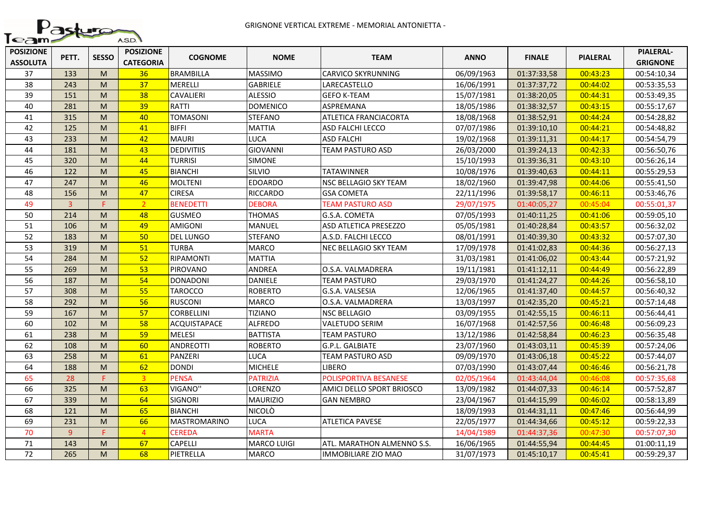

| <b>POSIZIONE</b><br><b>ASSOLUTA</b> | PETT.          | <b>SESSO</b> | <b>POSIZIONE</b><br><b>CATEGORIA</b> | <b>COGNOME</b>      | <b>NOME</b>        | <b>TEAM</b>                  | <b>ANNO</b> | <b>FINALE</b> | <b>PIALERAL</b> | <b>PIALERAL-</b><br><b>GRIGNONE</b> |
|-------------------------------------|----------------|--------------|--------------------------------------|---------------------|--------------------|------------------------------|-------------|---------------|-----------------|-------------------------------------|
| 37                                  | 133            | M            | 36                                   | <b>BRAMBILLA</b>    | <b>MASSIMO</b>     | <b>CARVICO SKYRUNNING</b>    | 06/09/1963  | 01:37:33,58   | 00:43:23        | 00:54:10,34                         |
| 38                                  | 243            | M            | 37                                   | MERELLI             | <b>GABRIELE</b>    | LARECASTELLO                 | 16/06/1991  | 01:37:37,72   | 00:44:02        | 00:53:35,53                         |
| 39                                  | 151            | M            | 38                                   | CAVALIERI           | <b>ALESSIO</b>     | <b>GEFO K-TEAM</b>           | 15/07/1981  | 01:38:20,05   | 00:44:31        | 00:53:49,35                         |
| 40                                  | 281            | M            | 39                                   | <b>RATTI</b>        | <b>DOMENICO</b>    | <b>ASPREMANA</b>             | 18/05/1986  | 01:38:32,57   | 00:43:15        | 00:55:17,67                         |
| 41                                  | 315            | M            | 40                                   | <b>TOMASONI</b>     | <b>STEFANO</b>     | ATLETICA FRANCIACORTA        | 18/08/1968  | 01:38:52,91   | 00:44:24        | 00:54:28,82                         |
| 42                                  | 125            | M            | 41                                   | <b>BIFFI</b>        | <b>MATTIA</b>      | ASD FALCHI LECCO             | 07/07/1986  | 01:39:10,10   | 00:44:21        | 00:54:48,82                         |
| 43                                  | 233            | M            | 42                                   | <b>MAURI</b>        | <b>LUCA</b>        | <b>ASD FALCHI</b>            | 19/02/1968  | 01:39:11,31   | 00:44:17        | 00:54:54,79                         |
| 44                                  | 181            | M            | 43                                   | <b>DEDIVITIIS</b>   | <b>GIOVANNI</b>    | TEAM PASTURO ASD             | 26/03/2000  | 01:39:24,13   | 00:42:33        | 00:56:50,76                         |
| 45                                  | 320            | M            | 44                                   | <b>TURRISI</b>      | <b>SIMONE</b>      |                              | 15/10/1993  | 01:39:36,31   | 00:43:10        | 00:56:26,14                         |
| 46                                  | 122            | M            | 45                                   | <b>BIANCHI</b>      | SILVIO             | <b>TATAWINNER</b>            | 10/08/1976  | 01:39:40,63   | 00:44:11        | 00:55:29,53                         |
| 47                                  | 247            | M            | 46                                   | <b>MOLTENI</b>      | <b>EDOARDO</b>     | NSC BELLAGIO SKY TEAM        | 18/02/1960  | 01:39:47,98   | 00:44:06        | 00:55:41,50                         |
| 48                                  | 156            | M            | 47                                   | <b>CIRESA</b>       | <b>RICCARDO</b>    | <b>GSA COMETA</b>            | 22/11/1996  | 01:39:58,17   | 00:46:11        | 00:53:46,76                         |
| 49                                  | $\overline{3}$ | p.           | 2 <sup>1</sup>                       | <b>BENEDETTI</b>    | <b>DEBORA</b>      | <b>TEAM PASTURO ASD</b>      | 29/07/1975  | 01:40:05,27   | 00:45:04        | 00:55:01,37                         |
| 50                                  | 214            | M            | 48                                   | <b>GUSMEO</b>       | <b>THOMAS</b>      | G.S.A. COMETA                | 07/05/1993  | 01:40:11,25   | 00:41:06        | 00:59:05,10                         |
| 51                                  | 106            | M            | 49                                   | <b>AMIGONI</b>      | MANUEL             | <b>ASD ATLETICA PRESEZZO</b> | 05/05/1981  | 01:40:28,84   | 00:43:57        | 00:56:32,02                         |
| 52                                  | 183            | M            | 50                                   | <b>DEL LUNGO</b>    | <b>STEFANO</b>     | A.S.D. FALCHI LECCO          | 08/01/1991  | 01:40:39,30   | 00:43:32        | 00:57:07,30                         |
| 53                                  | 319            | M            | 51                                   | <b>TURBA</b>        | <b>MARCO</b>       | NEC BELLAGIO SKY TEAM        | 17/09/1978  | 01:41:02,83   | 00:44:36        | 00:56:27,13                         |
| 54                                  | 284            | M            | 52                                   | <b>RIPAMONTI</b>    | <b>MATTIA</b>      |                              | 31/03/1981  | 01:41:06,02   | 00:43:44        | 00:57:21,92                         |
| 55                                  | 269            | M            | 53                                   | <b>PIROVANO</b>     | ANDREA             | O.S.A. VALMADRERA            | 19/11/1981  | 01:41:12,11   | 00:44:49        | 00:56:22,89                         |
| 56                                  | 187            | M            | 54                                   | <b>DONADONI</b>     | DANIELE            | TEAM PASTURO                 | 29/03/1970  | 01:41:24,27   | 00:44:26        | 00:56:58,10                         |
| 57                                  | 308            | M            | 55                                   | TAROCCO             | <b>ROBERTO</b>     | G.S.A. VALSESIA              | 12/06/1965  | 01:41:37,40   | 00:44:57        | 00:56:40,32                         |
| 58                                  | 292            | M            | 56                                   | <b>RUSCONI</b>      | MARCO              | O.S.A. VALMADRERA            | 13/03/1997  | 01:42:35,20   | 00:45:21        | 00:57:14,48                         |
| 59                                  | 167            | M            | 57                                   | CORBELLINI          | <b>TIZIANO</b>     | <b>NSC BELLAGIO</b>          | 03/09/1955  | 01:42:55,15   | 00:46:11        | 00:56:44,41                         |
| 60                                  | 102            | M            | 58                                   | ACQUISTAPACE        | <b>ALFREDO</b>     | VALETUDO SERIM               | 16/07/1968  | 01:42:57,56   | 00:46:48        | 00:56:09,23                         |
| 61                                  | 238            | M            | 59                                   | <b>MELESI</b>       | <b>BATTISTA</b>    | <b>TEAM PASTURO</b>          | 13/12/1986  | 01:42:58,84   | 00:46:23        | 00:56:35,48                         |
| 62                                  | 108            | M            | 60                                   | <b>ANDREOTTI</b>    | <b>ROBERTO</b>     | G.P.L. GALBIATE              | 23/07/1960  | 01:43:03,11   | 00:45:39        | 00:57:24,06                         |
| 63                                  | 258            | M            | 61                                   | PANZERI             | LUCA               | TEAM PASTURO ASD             | 09/09/1970  | 01:43:06,18   | 00:45:22        | 00:57:44,07                         |
| 64                                  | 188            | M            | 62                                   | <b>DONDI</b>        | <b>MICHELE</b>     | <b>LIBERO</b>                | 07/03/1990  | 01:43:07,44   | 00:46:46        | 00:56:21,78                         |
| 65                                  | 28             | F.           | $\overline{3}$                       | <b>PENSA</b>        | <b>PATRIZIA</b>    | POLISPORTIVA BESANESE        | 02/05/1964  | 01:43:44,04   | 00:46:08        | 00:57:35,68                         |
| 66                                  | 325            | M            | 63                                   | <b>VIGANO"</b>      | LORENZO            | AMICI DELLO SPORT BRIOSCO    | 13/09/1982  | 01:44:07,33   | 00:46:14        | 00:57:52,87                         |
| 67                                  | 339            | M            | 64                                   | <b>SIGNORI</b>      | <b>MAURIZIO</b>    | GAN NEMBRO                   | 23/04/1967  | 01:44:15,99   | 00:46:02        | 00:58:13,89                         |
| 68                                  | 121            | M            | 65                                   | <b>BIANCHI</b>      | <b>NICOLO</b>      |                              | 18/09/1993  | 01:44:31,11   | 00:47:46        | 00:56:44,99                         |
| 69                                  | 231            | M            | 66                                   | <b>MASTROMARINO</b> | <b>LUCA</b>        | ATLETICA PAVESE              | 22/05/1977  | 01:44:34,66   | 00:45:12        | 00:59:22,33                         |
| 70                                  | 9              | F.           | $\overline{4}$                       | <b>CEREDA</b>       | <b>MARTA</b>       |                              | 14/04/1989  | 01:44:37,36   | 00:47:30        | 00:57:07,30                         |
| 71                                  | 143            | M            | 67                                   | CAPELLI             | <b>MARCO LUIGI</b> | ATL. MARATHON ALMENNO S.S.   | 16/06/1965  | 01:44:55,94   | 00:44:45        | 01:00:11,19                         |
| 72                                  | 265            | M            | 68                                   | PIETRELLA           | <b>MARCO</b>       | <b>IMMOBILIARE ZIO MAO</b>   | 31/07/1973  | 01:45:10,17   | 00:45:41        | 00:59:29,37                         |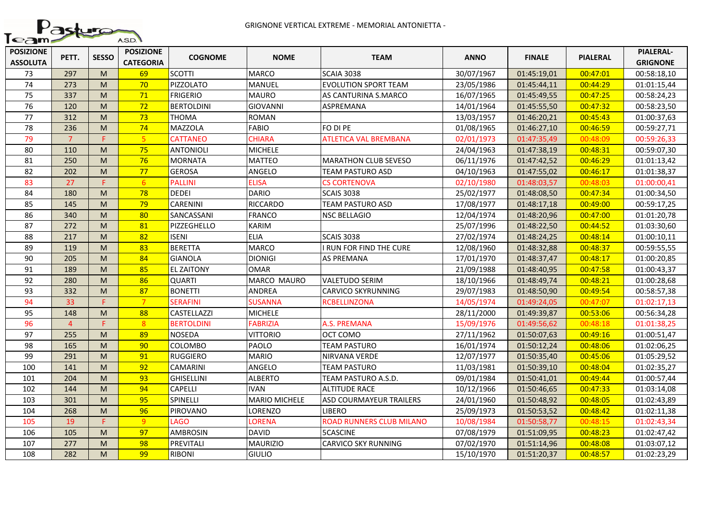

| <b>POSIZIONE</b><br><b>ASSOLUTA</b> | PETT.          | <b>SESSO</b> | <b>POSIZIONE</b><br><b>CATEGORIA</b> | <b>COGNOME</b>     | <b>NOME</b>          | <b>TEAM</b>                     | <b>ANNO</b> | <b>FINALE</b> | <b>PIALERAL</b> | <b>PIALERAL-</b><br><b>GRIGNONE</b> |
|-------------------------------------|----------------|--------------|--------------------------------------|--------------------|----------------------|---------------------------------|-------------|---------------|-----------------|-------------------------------------|
| 73                                  | 297            | M            | 69                                   | <b>SCOTTI</b>      | <b>MARCO</b>         | <b>SCAIA 3038</b>               | 30/07/1967  | 01:45:19,01   | 00:47:01        | 00:58:18,10                         |
| 74                                  | 273            | M            | 70                                   | PIZZOLATO          | <b>MANUEL</b>        | <b>EVOLUTION SPORT TEAM</b>     | 23/05/1986  | 01:45:44,11   | 00:44:29        | 01:01:15,44                         |
| 75                                  | 337            | M            | 71                                   | <b>FRIGERIO</b>    | <b>MAURO</b>         | AS CANTURINA S.MARCO            | 16/07/1965  | 01:45:49,55   | 00:47:25        | 00:58:24,23                         |
| 76                                  | 120            | M            | 72                                   | <b>BERTOLDINI</b>  | <b>GIOVANNI</b>      | ASPREMANA                       | 14/01/1964  | 01:45:55,50   | 00:47:32        | 00:58:23,50                         |
| 77                                  | 312            | M            | 73                                   | <b>THOMA</b>       | <b>ROMAN</b>         |                                 | 13/03/1957  | 01:46:20,21   | 00:45:43        | 01:00:37,63                         |
| 78                                  | 236            | M            | 74                                   | <b>MAZZOLA</b>     | <b>FABIO</b>         | FO DI PE                        | 01/08/1965  | 01:46:27,10   | 00:46:59        | 00:59:27,71                         |
| 79                                  | $\overline{7}$ | F.           | 5 <sup>5</sup>                       | <b>CATTANEO</b>    | <b>CHIARA</b>        | ATLETICA VAL BREMBANA           | 02/01/1973  | 01:47:35,49   | 00:48:09        | 00:59:26,33                         |
| 80                                  | 110            | M            | 75                                   | ANTONIOLI          | <b>MICHELE</b>       |                                 | 24/04/1963  | 01:47:38,19   | 00:48:31        | 00:59:07,30                         |
| 81                                  | 250            | M            | 76                                   | <b>MORNATA</b>     | <b>MATTEO</b>        | <b>MARATHON CLUB SEVESO</b>     | 06/11/1976  | 01:47:42,52   | 00:46:29        | 01:01:13,42                         |
| 82                                  | 202            | M            | 77                                   | <b>GEROSA</b>      | ANGELO               | TEAM PASTURO ASD                | 04/10/1963  | 01:47:55,02   | 00:46:17        | 01:01:38,37                         |
| 83                                  | 27             | F.           | 6 <sup>6</sup>                       | <b>PALLINI</b>     | <b>ELISA</b>         | <b>CS CORTENOVA</b>             | 02/10/1980  | 01:48:03,57   | 00:48:03        | 01:00:00,41                         |
| 84                                  | 180            | M            | 78                                   | <b>DEDEI</b>       | <b>DARIO</b>         | <b>SCAIS 3038</b>               | 25/02/1977  | 01:48:08,50   | 00:47:34        | 01:00:34,50                         |
| 85                                  | 145            | M            | 79                                   | <b>CARENINI</b>    | <b>RICCARDO</b>      | <b>TEAM PASTURO ASD</b>         | 17/08/1977  | 01:48:17,18   | 00:49:00        | 00:59:17,25                         |
| 86                                  | 340            | M            | 80                                   | SANCASSANI         | <b>FRANCO</b>        | <b>NSC BELLAGIO</b>             | 12/04/1974  | 01:48:20,96   | 00:47:00        | 01:01:20,78                         |
| 87                                  | 272            | M            | 81                                   | PIZZEGHELLO        | <b>KARIM</b>         |                                 | 25/07/1996  | 01:48:22,50   | 00:44:52        | 01:03:30,60                         |
| 88                                  | 217            | M            | 82                                   | <b>ISENI</b>       | <b>ELIA</b>          | <b>SCAIS 3038</b>               | 27/02/1974  | 01:48:24,25   | 00:48:14        | 01:00:10,11                         |
| 89                                  | 119            | M            | 83                                   | <b>BERETTA</b>     | <b>MARCO</b>         | I RUN FOR FIND THE CURE         | 12/08/1960  | 01:48:32,88   | 00:48:37        | 00:59:55,55                         |
| 90                                  | 205            | M            | 84                                   | GIANOLA            | <b>DIONIGI</b>       | <b>AS PREMANA</b>               | 17/01/1970  | 01:48:37,47   | 00:48:17        | 01:00:20,85                         |
| 91                                  | 189            | M            | 85                                   | <b>EL ZAITONY</b>  | <b>OMAR</b>          |                                 | 21/09/1988  | 01:48:40,95   | 00:47:58        | 01:00:43,37                         |
| 92                                  | 280            | M            | 86                                   | <b>QUARTI</b>      | MARCO MAURO          | <b>VALETUDO SERIM</b>           | 18/10/1966  | 01:48:49,74   | 00:48:21        | 01:00:28,68                         |
| 93                                  | 332            | M            | 87                                   | <b>BONETTI</b>     | ANDREA               | <b>CARVICO SKYRUNNING</b>       | 29/07/1983  | 01:48:50,90   | 00:49:54        | 00:58:57,38                         |
| 94                                  | 33             | F.           | $\overline{7}$                       | <b>SERAFINI</b>    | <b>SUSANNA</b>       | <b>RCBELLINZONA</b>             | 14/05/1974  | 01:49:24,05   | 00:47:07        | 01:02:17,13                         |
| 95                                  | 148            | M            | 88                                   | <b>CASTELLAZZI</b> | <b>MICHELE</b>       |                                 | 28/11/2000  | 01:49:39,87   | 00:53:06        | 00:56:34,28                         |
| 96                                  | $\overline{4}$ | Ë            | 8 <sup>°</sup>                       | <b>BERTOLDINI</b>  | <b>FABRIZIA</b>      | A.S. PREMANA                    | 15/09/1976  | 01:49:56,62   | 00:48:18        | 01:01:38,25                         |
| 97                                  | 255            | M            | 89                                   | <b>NOSEDA</b>      | <b>VITTORIO</b>      | OCT COMO                        | 27/11/1962  | 01:50:07,63   | 00:49:16        | 01:00:51,47                         |
| 98                                  | 165            | M            | 90                                   | COLOMBO            | PAOLO                | <b>TEAM PASTURO</b>             | 16/01/1974  | 01:50:12,24   | 00:48:06        | 01:02:06,25                         |
| 99                                  | 291            | M            | 91                                   | <b>RUGGIERO</b>    | <b>MARIO</b>         | NIRVANA VERDE                   | 12/07/1977  | 01:50:35,40   | 00:45:06        | 01:05:29,52                         |
| 100                                 | 141            | M            | 92                                   | CAMARINI           | ANGELO               | TEAM PASTURO                    | 11/03/1981  | 01:50:39,10   | 00:48:04        | 01:02:35,27                         |
| 101                                 | 204            | M            | 93                                   | <b>GHISELLINI</b>  | <b>ALBERTO</b>       | TEAM PASTURO A.S.D.             | 09/01/1984  | 01:50:41,01   | 00:49:44        | 01:00:57,44                         |
| 102                                 | 144            | M            | 94                                   | CAPELLI            | <b>IVAN</b>          | <b>ALTITUDE RACE</b>            | 10/12/1966  | 01:50:46,65   | 00:47:33        | 01:03:14,08                         |
| 103                                 | 301            | M            | 95                                   | SPINELLI           | <b>MARIO MICHELE</b> | ASD COURMAYEUR TRAILERS         | 24/01/1960  | 01:50:48,92   | 00:48:05        | 01:02:43,89                         |
| 104                                 | 268            | M            | 96                                   | PIROVANO           | LORENZO              | <b>LIBERO</b>                   | 25/09/1973  | 01:50:53,52   | 00:48:42        | 01:02:11,38                         |
| 105                                 | 19             | F.           | 9 <sup>°</sup>                       | LAGO               | LORENA               | <b>ROAD RUNNERS CLUB MILANO</b> | 10/08/1984  | 01:50:58,77   | 00:48:15        | 01:02:43,34                         |
| 106                                 | 105            | M            | 97                                   | <b>AMBROSIN</b>    | <b>DAVID</b>         | <b>5CASCINE</b>                 | 07/08/1979  | 01:51:09,95   | 00:48:23        | 01:02:47,42                         |
| 107                                 | 277            | M            | 98                                   | PREVITALI          | <b>MAURIZIO</b>      | <b>CARVICO SKY RUNNING</b>      | 07/02/1970  | 01:51:14,96   | 00:48:08        | 01:03:07,12                         |
| 108                                 | 282            | M            | 99                                   | <b>RIBONI</b>      | <b>GIULIO</b>        |                                 | 15/10/1970  | 01:51:20,37   | 00:48:57        | 01:02:23,29                         |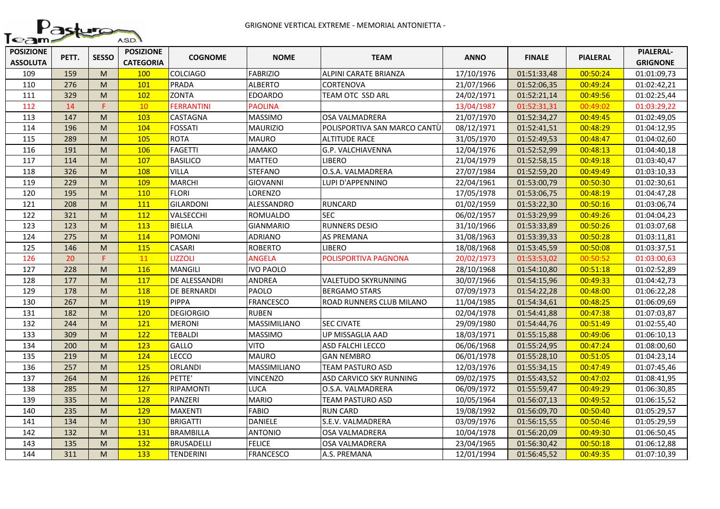

| <b>POSIZIONE</b><br><b>ASSOLUTA</b> | PETT. | <b>SESSO</b> | <b>POSIZIONE</b><br><b>CATEGORIA</b> | <b>COGNOME</b>    | <b>NOME</b>      | <b>TEAM</b>                  | <b>ANNO</b> | <b>FINALE</b> | <b>PIALERAL</b> | <b>PIALERAL-</b><br><b>GRIGNONE</b> |
|-------------------------------------|-------|--------------|--------------------------------------|-------------------|------------------|------------------------------|-------------|---------------|-----------------|-------------------------------------|
| 109                                 | 159   | M            | 100                                  | <b>COLCIAGO</b>   | <b>FABRIZIO</b>  | ALPINI CARATE BRIANZA        | 17/10/1976  | 01:51:33,48   | 00:50:24        | 01:01:09,73                         |
| 110                                 | 276   | M            | 101                                  | PRADA             | <b>ALBERTO</b>   | <b>CORTENOVA</b>             | 21/07/1966  | 01:52:06,35   | 00:49:24        | 01:02:42,21                         |
| 111                                 | 329   | M            | 102                                  | <b>ZONTA</b>      | <b>EDOARDO</b>   | TEAM OTC SSD ARL             | 24/02/1971  | 01:52:21,14   | 00:49:56        | 01:02:25,44                         |
| 112                                 | 14    | F.           | 10                                   | <b>FERRANTINI</b> | <b>PAOLINA</b>   |                              | 13/04/1987  | 01:52:31,31   | 00:49:02        | 01:03:29,22                         |
| 113                                 | 147   | M            | 103                                  | CASTAGNA          | <b>MASSIMO</b>   | OSA VALMADRERA               | 21/07/1970  | 01:52:34,27   | 00:49:45        | 01:02:49,05                         |
| 114                                 | 196   | M            | 104                                  | <b>FOSSATI</b>    | <b>MAURIZIO</b>  | POLISPORTIVA SAN MARCO CANTÙ | 08/12/1971  | 01:52:41,51   | 00:48:29        | 01:04:12,95                         |
| 115                                 | 289   | M            | 105                                  | <b>ROTA</b>       | <b>MAURO</b>     | <b>ALTITUDE RACE</b>         | 31/05/1970  | 01:52:49,53   | 00:48:47        | 01:04:02,60                         |
| 116                                 | 191   | M            | 106                                  | <b>FAGETTI</b>    | JAMAKO           | G.P. VALCHIAVENNA            | 12/04/1976  | 01:52:52,99   | 00:48:13        | 01:04:40,18                         |
| 117                                 | 114   | M            | 107                                  | <b>BASILICO</b>   | <b>MATTEO</b>    | <b>LIBERO</b>                | 21/04/1979  | 01:52:58,15   | 00:49:18        | 01:03:40,47                         |
| 118                                 | 326   | M            | 108                                  | VILLA             | <b>STEFANO</b>   | O.S.A. VALMADRERA            | 27/07/1984  | 01:52:59,20   | 00:49:49        | 01:03:10,33                         |
| 119                                 | 229   | M            | 109                                  | <b>MARCHI</b>     | <b>GIOVANNI</b>  | LUPI D'APPENNINO             | 22/04/1961  | 01:53:00,79   | 00:50:30        | 01:02:30,61                         |
| 120                                 | 195   | M            | 110                                  | <b>FLORI</b>      | LORENZO          |                              | 17/05/1978  | 01:53:06,75   | 00:48:19        | 01:04:47,28                         |
| 121                                 | 208   | M            | 111                                  | <b>GILARDONI</b>  | ALESSANDRO       | <b>RUNCARD</b>               | 01/02/1959  | 01:53:22,30   | 00:50:16        | 01:03:06,74                         |
| 122                                 | 321   | M            | 112                                  | VALSECCHI         | ROMUALDO         | <b>SEC</b>                   | 06/02/1957  | 01:53:29,99   | 00:49:26        | 01:04:04,23                         |
| 123                                 | 123   | M            | 113                                  | BIELLA            | <b>GIANMARIO</b> | <b>RUNNERS DESIO</b>         | 31/10/1966  | 01:53:33,89   | 00:50:26        | 01:03:07,68                         |
| 124                                 | 275   | M            | 114                                  | POMONI            | <b>ADRIANO</b>   | <b>AS PREMANA</b>            | 31/08/1963  | 01:53:39,33   | 00:50:28        | 01:03:11,81                         |
| 125                                 | 146   | M            | 115                                  | CASARI            | <b>ROBERTO</b>   | <b>LIBERO</b>                | 18/08/1968  | 01:53:45,59   | 00:50:08        | 01:03:37,51                         |
| 126                                 | 20    | F.           | 11                                   | <b>LIZZOLI</b>    | ANGELA           | POLISPORTIVA PAGNONA         | 20/02/1973  | 01:53:53,02   | 00:50:52        | 01:03:00,63                         |
| 127                                 | 228   | M            | 116                                  | MANGILI           | <b>IVO PAOLO</b> |                              | 28/10/1968  | 01:54:10,80   | 00:51:18        | 01:02:52,89                         |
| 128                                 | 177   | M            | 117                                  | DE ALESSANDRI     | ANDREA           | VALETUDO SKYRUNNING          | 30/07/1966  | 01:54:15,96   | 00:49:33        | 01:04:42,73                         |
| 129                                 | 178   | M            | 118                                  | DE BERNARDI       | PAOLO            | <b>BERGAMO STARS</b>         | 07/09/1973  | 01:54:22,28   | 00:48:00        | 01:06:22,28                         |
| 130                                 | 267   | M            | 119                                  | <b>PIPPA</b>      | <b>FRANCESCO</b> | ROAD RUNNERS CLUB MILANO     | 11/04/1985  | 01:54:34,61   | 00:48:25        | 01:06:09,69                         |
| 131                                 | 182   | M            | 120                                  | <b>DEGIORGIO</b>  | <b>RUBEN</b>     |                              | 02/04/1978  | 01:54:41,88   | 00:47:38        | 01:07:03,87                         |
| 132                                 | 244   | M            | 121                                  | <b>MERONI</b>     | MASSIMILIANO     | <b>SEC CIVATE</b>            | 29/09/1980  | 01:54:44,76   | 00:51:49        | 01:02:55,40                         |
| 133                                 | 309   | M            | 122                                  | <b>TEBALDI</b>    | <b>MASSIMO</b>   | UP MISSAGLIA AAD             | 18/03/1971  | 01:55:15,88   | 00:49:06        | 01:06:10,13                         |
| 134                                 | 200   | M            | 123                                  | GALLO             | <b>VITO</b>      | ASD FALCHI LECCO             | 06/06/1968  | 01:55:24,95   | 00:47:24        | 01:08:00,60                         |
| 135                                 | 219   | M            | 124                                  | LECCO             | <b>MAURO</b>     | <b>GAN NEMBRO</b>            | 06/01/1978  | 01:55:28,10   | 00:51:05        | 01:04:23,14                         |
| 136                                 | 257   | M            | 125                                  | ORLANDI           | MASSIMILIANO     | TEAM PASTURO ASD             | 12/03/1976  | 01:55:34,15   | 00:47:49        | 01:07:45,46                         |
| 137                                 | 264   | M            | 126                                  | PETTE'            | <b>VINCENZO</b>  | ASD CARVICO SKY RUNNING      | 09/02/1975  | 01:55:43,52   | 00:47:02        | 01:08:41,95                         |
| 138                                 | 285   | M            | 127                                  | RIPAMONTI         | <b>LUCA</b>      | O.S.A. VALMADRERA            | 06/09/1972  | 01:55:59,47   | 00:49:29        | 01:06:30,85                         |
| 139                                 | 335   | M            | <b>128</b>                           | PANZERI           | <b>MARIO</b>     | TEAM PASTURO ASD             | 10/05/1964  | 01:56:07,13   | 00:49:52        | 01:06:15,52                         |
| 140                                 | 235   | M            | 129                                  | <b>MAXENTI</b>    | <b>FABIO</b>     | <b>RUN CARD</b>              | 19/08/1992  | 01:56:09,70   | 00:50:40        | 01:05:29,57                         |
| 141                                 | 134   | M            | <b>130</b>                           | <b>BRIGATTI</b>   | <b>DANIELE</b>   | S.E.V. VALMADRERA            | 03/09/1976  | 01:56:15,55   | 00:50:46        | 01:05:29,59                         |
| 142                                 | 132   | M            | 131                                  | <b>BRAMBILLA</b>  | <b>ANTONIO</b>   | OSA VALMADRERA               | 10/04/1978  | 01:56:20,09   | 00:49:30        | 01:06:50,45                         |
| 143                                 | 135   | M            | 132                                  | <b>BRUSADELLI</b> | <b>FELICE</b>    | OSA VALMADRERA               | 23/04/1965  | 01:56:30,42   | 00:50:18        | 01:06:12,88                         |
| 144                                 | 311   | M            | 133                                  | <b>TENDERINI</b>  | <b>FRANCESCO</b> | A.S. PREMANA                 | 12/01/1994  | 01:56:45,52   | 00:49:35        | 01:07:10,39                         |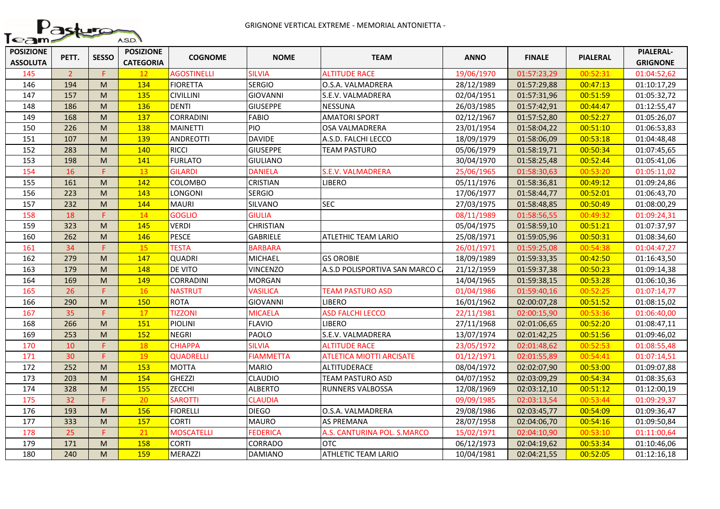

| <b>POSIZIONE</b><br><b>ASSOLUTA</b> | PETT.          | <b>SESSO</b>                                                                                               | <b>POSIZIONE</b><br><b>CATEGORIA</b> | <b>COGNOME</b>    | <b>NOME</b>      | <b>TEAM</b>                     | <b>ANNO</b> | <b>FINALE</b> | <b>PIALERAL</b> | <b>PIALERAL-</b><br><b>GRIGNONE</b> |
|-------------------------------------|----------------|------------------------------------------------------------------------------------------------------------|--------------------------------------|-------------------|------------------|---------------------------------|-------------|---------------|-----------------|-------------------------------------|
| 145                                 | $\overline{2}$ | F.                                                                                                         | 12 <sup>2</sup>                      | AGOSTINELLI       | SILVIA           | <b>ALTITUDE RACE</b>            | 19/06/1970  | 01:57:23,29   | 00:52:31        | 01:04:52,62                         |
| 146                                 | 194            | M                                                                                                          | 134                                  | <b>FIORETTA</b>   | <b>SERGIO</b>    | O.S.A. VALMADRERA               | 28/12/1989  | 01:57:29,88   | 00:47:13        | 01:10:17,29                         |
| 147                                 | 157            | $\mathsf{M}% _{T}=\mathsf{M}_{T}\!\left( a,b\right) ,\ \mathsf{M}_{T}=\mathsf{M}_{T}\!\left( a,b\right) ,$ | 135                                  | <b>CIVILLINI</b>  | <b>GIOVANNI</b>  | S.E.V. VALMADRERA               | 02/04/1951  | 01:57:31,96   | 00:51:59        | 01:05:32,72                         |
| 148                                 | 186            | M                                                                                                          | 136                                  | <b>DENTI</b>      | <b>GIUSEPPE</b>  | <b>NESSUNA</b>                  | 26/03/1985  | 01:57:42,91   | 00:44:47        | 01:12:55,47                         |
| 149                                 | 168            | M                                                                                                          | 137                                  | <b>CORRADINI</b>  | <b>FABIO</b>     | <b>AMATORI SPORT</b>            | 02/12/1967  | 01:57:52,80   | 00:52:27        | 01:05:26,07                         |
| 150                                 | 226            | M                                                                                                          | 138                                  | <b>MAINETTI</b>   | PIO              | <b>OSA VALMADRERA</b>           | 23/01/1954  | 01:58:04,22   | 00:51:10        | 01:06:53,83                         |
| 151                                 | 107            | M                                                                                                          | 139                                  | <b>ANDREOTTI</b>  | <b>DAVIDE</b>    | A.S.D. FALCHI LECCO             | 18/09/1979  | 01:58:06,09   | 00:53:18        | 01:04:48,48                         |
| 152                                 | 283            | M                                                                                                          | 140                                  | <b>RICCI</b>      | <b>GIUSEPPE</b>  | <b>TEAM PASTURO</b>             | 05/06/1979  | 01:58:19,71   | 00:50:34        | 01:07:45,65                         |
| 153                                 | 198            | M                                                                                                          | 141                                  | <b>FURLATO</b>    | <b>GIULIANO</b>  |                                 | 30/04/1970  | 01:58:25,48   | 00:52:44        | 01:05:41,06                         |
| 154                                 | 16             | F.                                                                                                         | 13                                   | <b>GILARDI</b>    | <b>DANIELA</b>   | S.E.V. VALMADRERA               | 25/06/1965  | 01:58:30,63   | 00:53:20        | 01:05:11,02                         |
| 155                                 | 161            | $\mathsf{M}% _{T}=\mathsf{M}_{T}\!\left( a,b\right) ,\ \mathsf{M}_{T}=\mathsf{M}_{T}\!\left( a,b\right) ,$ | 142                                  | <b>COLOMBO</b>    | <b>CRISTIAN</b>  | <b>LIBERO</b>                   | 05/11/1976  | 01:58:36,81   | 00:49:12        | 01:09:24,86                         |
| 156                                 | 223            | M                                                                                                          | 143                                  | LONGONI           | <b>SERGIO</b>    |                                 | 17/06/1977  | 01:58:44,77   | 00:52:01        | 01:06:43,70                         |
| 157                                 | 232            | M                                                                                                          | 144                                  | <b>MAURI</b>      | SILVANO          | <b>SEC</b>                      | 27/03/1975  | 01:58:48,85   | 00:50:49        | 01:08:00,29                         |
| 158                                 | 18             | E.                                                                                                         | 14                                   | <b>GOGLIO</b>     | <b>GIULIA</b>    |                                 | 08/11/1989  | 01:58:56,55   | 00:49:32        | 01:09:24,31                         |
| 159                                 | 323            | M                                                                                                          | 145                                  | <b>VERDI</b>      | <b>CHRISTIAN</b> |                                 | 05/04/1975  | 01:58:59,10   | 00:51:21        | 01:07:37,97                         |
| 160                                 | 262            | M                                                                                                          | 146                                  | <b>PESCE</b>      | <b>GABRIELE</b>  | <b>ATLETHIC TEAM LARIO</b>      | 25/08/1971  | 01:59:05,96   | 00:50:31        | 01:08:34,60                         |
| 161                                 | 34             | Е                                                                                                          | 15                                   | <b>TESTA</b>      | <b>BARBARA</b>   |                                 | 26/01/1971  | 01:59:25,08   | 00:54:38        | 01:04:47,27                         |
| 162                                 | 279            | M                                                                                                          | 147                                  | <b>QUADRI</b>     | <b>MICHAEL</b>   | <b>GS OROBIE</b>                | 18/09/1989  | 01:59:33,35   | 00:42:50        | 01:16:43,50                         |
| 163                                 | 179            | M                                                                                                          | 148                                  | DE VITO           | <b>VINCENZO</b>  | A.S.D POLISPORTIVA SAN MARCO C  | 21/12/1959  | 01:59:37,38   | 00:50:23        | 01:09:14,38                         |
| 164                                 | 169            | M                                                                                                          | 149                                  | CORRADINI         | <b>MORGAN</b>    |                                 | 14/04/1965  | 01:59:38,15   | 00:53:28        | 01:06:10,36                         |
| 165                                 | 26             | F.                                                                                                         | 16                                   | NASTRUT           | <b>VASILICA</b>  | <b>TEAM PASTURO ASD</b>         | 01/04/1986  | 01:59:40,16   | 00:52:25        | 01:07:14,77                         |
| 166                                 | 290            | M                                                                                                          | 150                                  | <b>ROTA</b>       | <b>GIOVANNI</b>  | <b>LIBERO</b>                   | 16/01/1962  | 02:00:07,28   | 00:51:52        | 01:08:15,02                         |
| 167                                 | 35             | p.                                                                                                         | 17                                   | <b>TIZZONI</b>    | <b>MICAELA</b>   | <b>ASD FALCHI LECCO</b>         | 22/11/1981  | 02:00:15,90   | 00:53:36        | 01:06:40,00                         |
| 168                                 | 266            | M                                                                                                          | 151                                  | <b>PIOLINI</b>    | <b>FLAVIO</b>    | <b>LIBERO</b>                   | 27/11/1968  | 02:01:06,65   | 00:52:20        | 01:08:47,11                         |
| 169                                 | 253            | M                                                                                                          | 152                                  | <b>NEGRI</b>      | PAOLO            | S.E.V. VALMADRERA               | 13/07/1974  | 02:01:42,25   | 00:51:56        | 01:09:46,02                         |
| 170                                 | 10             | F                                                                                                          | 18                                   | <b>CHIAPPA</b>    | <b>SILVIA</b>    | <b>ALTITUDE RACE</b>            | 23/05/1972  | 02:01:48,62   | 00:52:53        | 01:08:55,48                         |
| 171                                 | 30             | F.                                                                                                         | 19                                   | <b>QUADRELLI</b>  | <b>FIAMMETTA</b> | <b>ATLETICA MIOTTI ARCISATE</b> | 01/12/1971  | 02:01:55,89   | 00:54:41        | 01:07:14,51                         |
| 172                                 | 252            | M                                                                                                          | 153                                  | <b>MOTTA</b>      | <b>MARIO</b>     | ALTITUDERACE                    | 08/04/1972  | 02:02:07,90   | 00:53:00        | 01:09:07,88                         |
| 173                                 | 203            | M                                                                                                          | 154                                  | <b>GHEZZI</b>     | <b>CLAUDIO</b>   | TEAM PASTURO ASD                | 04/07/1952  | 02:03:09,29   | 00:54:34        | 01:08:35,63                         |
| 174                                 | 328            | M                                                                                                          | 155                                  | <b>ZECCHI</b>     | <b>ALBERTO</b>   | <b>RUNNERS VALBOSSA</b>         | 12/08/1969  | 02:03:12,10   | 00:51:12        | 01:12:00,19                         |
| 175                                 | 32             | F.                                                                                                         | 20                                   | <b>SAROTTI</b>    | <b>CLAUDIA</b>   |                                 | 09/09/1985  | 02:03:13,54   | 00:53:44        | 01:09:29,37                         |
| 176                                 | 193            | M                                                                                                          | 156                                  | <b>FIORELLI</b>   | <b>DIEGO</b>     | O.S.A. VALMADRERA               | 29/08/1986  | 02:03:45,77   | 00:54:09        | 01:09:36,47                         |
| 177                                 | 333            | M                                                                                                          | 157                                  | <b>CORTI</b>      | <b>MAURO</b>     | AS PREMANA                      | 28/07/1958  | 02:04:06,70   | 00:54:16        | 01:09:50,84                         |
| 178                                 | 25             | F.                                                                                                         | 21                                   | <b>MOSCATELLI</b> | <b>FEDERICA</b>  | A.S. CANTURINA POL. S.MARCO     | 15/02/1971  | 02:04:10,90   | 00:53:10        | 01:11:00,64                         |
| 179                                 | 171            | M                                                                                                          | 158                                  | <b>CORTI</b>      | CORRADO          | <b>OTC</b>                      | 06/12/1973  | 02:04:19,62   | 00:53:34        | 01:10:46,06                         |
| 180                                 | 240            | M                                                                                                          | 159                                  | <b>MERAZZI</b>    | <b>DAMIANO</b>   | <b>ATHLETIC TEAM LARIO</b>      | 10/04/1981  | 02:04:21,55   | 00:52:05        | 01:12:16,18                         |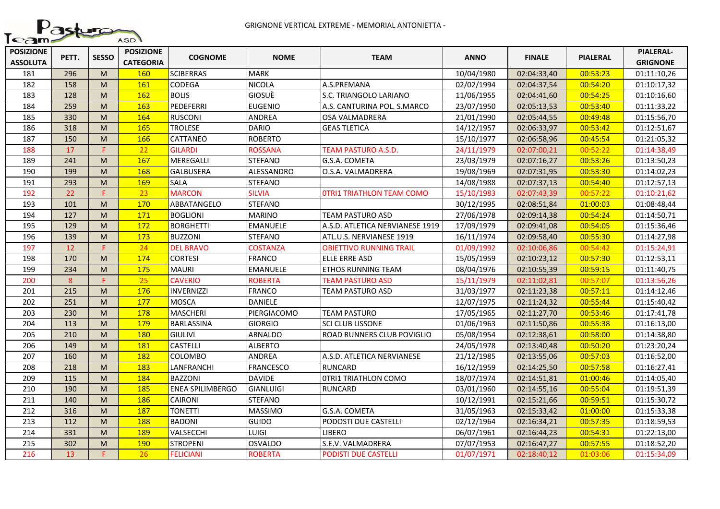

| <b>POSIZIONE</b><br><b>ASSOLUTA</b> | PETT. | <b>SESSO</b> | <b>POSIZIONE</b><br><b>CATEGORIA</b> | <b>COGNOME</b>    | <b>NOME</b>      | <b>TEAM</b>                     | <b>ANNO</b> | <b>FINALE</b> | <b>PIALERAL</b> | <b>PIALERAL-</b><br><b>GRIGNONE</b> |
|-------------------------------------|-------|--------------|--------------------------------------|-------------------|------------------|---------------------------------|-------------|---------------|-----------------|-------------------------------------|
| 181                                 | 296   | M            | 160                                  | <b>SCIBERRAS</b>  | <b>MARK</b>      |                                 | 10/04/1980  | 02:04:33,40   | 00:53:23        | 01:11:10,26                         |
| 182                                 | 158   | M            | 161                                  | CODEGA            | <b>NICOLA</b>    | A.S.PREMANA                     | 02/02/1994  | 02:04:37,54   | 00:54:20        | 01:10:17,32                         |
| 183                                 | 128   | M            | 162                                  | <b>BOLIS</b>      | GIOSUÈ           | S.C. TRIANGOLO LARIANO          | 11/06/1955  | 02:04:41,60   | 00:54:25        | 01:10:16,60                         |
| 184                                 | 259   | M            | 163                                  | PEDEFERRI         | <b>EUGENIO</b>   | A.S. CANTURINA POL. S.MARCO     | 23/07/1950  | 02:05:13,53   | 00:53:40        | 01:11:33,22                         |
| 185                                 | 330   | M            | 164                                  | <b>RUSCONI</b>    | ANDREA           | OSA VALMADRERA                  | 21/01/1990  | 02:05:44,55   | 00:49:48        | 01:15:56,70                         |
| 186                                 | 318   | M            | 165                                  | <b>TROLESE</b>    | <b>DARIO</b>     | <b>GEAS TLETICA</b>             | 14/12/1957  | 02:06:33,97   | 00:53:42        | 01:12:51,67                         |
| 187                                 | 150   | M            | 166                                  | CATTANEO          | <b>ROBERTO</b>   |                                 | 15/10/1977  | 02:06:58,96   | 00:45:54        | 01:21:05,32                         |
| 188                                 | 17    | F.           | 22                                   | <b>GILARDI</b>    | <b>ROSSANA</b>   | TEAM PASTURO A.S.D.             | 24/11/1979  | 02:07:00,21   | 00:52:22        | 01:14:38,49                         |
| 189                                 | 241   | M            | 167                                  | MEREGALLI         | <b>STEFANO</b>   | G.S.A. COMETA                   | 23/03/1979  | 02:07:16,27   | 00:53:26        | 01:13:50,23                         |
| 190                                 | 199   | M            | 168                                  | <b>GALBUSERA</b>  | ALESSANDRO       | O.S.A. VALMADRERA               | 19/08/1969  | 02:07:31,95   | 00:53:30        | 01:14:02,23                         |
| 191                                 | 293   | M            | 169                                  | SALA              | <b>STEFANO</b>   |                                 | 14/08/1988  | 02:07:37,13   | 00:54:40        | 01:12:57,13                         |
| 192                                 | 22    | F.           | 23                                   | <b>MARCON</b>     | SILVIA           | OTRI1 TRIATHLON TEAM COMO       | 15/10/1983  | 02:07:43,39   | 00:57:22        | 01:10:21,62                         |
| 193                                 | 101   | M            | 170                                  | ABBATANGELO       | <b>STEFANO</b>   |                                 | 30/12/1995  | 02:08:51,84   | 01:00:03        | 01:08:48,44                         |
| 194                                 | 127   | M            | 171                                  | <b>BOGLIONI</b>   | <b>MARINO</b>    | <b>TEAM PASTURO ASD</b>         | 27/06/1978  | 02:09:14,38   | 00:54:24        | 01:14:50,71                         |
| 195                                 | 129   | M            | 172                                  | <b>BORGHETTI</b>  | <b>EMANUELE</b>  | A.S.D. ATLETICA NERVIANESE 1919 | 17/09/1979  | 02:09:41,08   | 00:54:05        | 01:15:36,46                         |
| 196                                 | 139   | M            | 173                                  | <b>BUZZONI</b>    | <b>STEFANO</b>   | ATL.U.S. NERVIANESE 1919        | 16/11/1974  | 02:09:58,40   | 00:55:30        | 01:14:27,98                         |
| 197                                 | 12    | F.           | 24                                   | <b>DEL BRAVO</b>  | <b>COSTANZA</b>  | <b>OBIETTIVO RUNNING TRAIL</b>  | 01/09/1992  | 02:10:06,86   | 00:54:42        | 01:15:24,91                         |
| 198                                 | 170   | M            | 174                                  | <b>CORTESI</b>    | <b>FRANCO</b>    | ELLE ERRE ASD                   | 15/05/1959  | 02:10:23,12   | 00:57:30        | 01:12:53,11                         |
| 199                                 | 234   | M            | 175                                  | <b>MAURI</b>      | EMANUELE         | <b>ETHOS RUNNING TEAM</b>       | 08/04/1976  | 02:10:55,39   | 00:59:15        | 01:11:40,75                         |
| 200                                 | 8     | F.           | 25                                   | <b>CAVERIO</b>    | ROBERTA          | <b>TEAM PASTURO ASD</b>         | 15/11/1979  | 02:11:02,81   | 00:57:07        | 01:13:56,26                         |
| 201                                 | 215   | M            | 176                                  | <b>INVERNIZZI</b> | FRANCO           | TEAM PASTURO ASD                | 31/03/1977  | 02:11:23,38   | 00:57:11        | 01:14:12,46                         |
| 202                                 | 251   | M            | 177                                  | MOSCA             | <b>DANIELE</b>   |                                 | 12/07/1975  | 02:11:24,32   | 00:55:44        | 01:15:40,42                         |
| 203                                 | 230   | M            | 178                                  | <b>MASCHERI</b>   | PIERGIACOMO      | <b>TEAM PASTURO</b>             | 17/05/1965  | 02:11:27,70   | 00:53:46        | 01:17:41,78                         |
| 204                                 | 113   | M            | 179                                  | BARLASSINA        | <b>GIORGIO</b>   | SCI CLUB LISSONE                | 01/06/1963  | 02:11:50,86   | 00:55:38        | 01:16:13,00                         |
| 205                                 | 210   | M            | 180                                  | <b>GIULIVI</b>    | ARNALDO          | ROAD RUNNERS CLUB POVIGLIO      | 05/08/1954  | 02:12:38,61   | 00:58:00        | 01:14:38,80                         |
| 206                                 | 149   | M            | 181                                  | <b>CASTELLI</b>   | <b>ALBERTO</b>   |                                 | 24/05/1978  | 02:13:40,48   | 00:50:20        | 01:23:20,24                         |
| 207                                 | 160   | M            | 182                                  | COLOMBO           | ANDREA           | A.S.D. ATLETICA NERVIANESE      | 21/12/1985  | 02:13:55,06   | 00:57:03        | 01:16:52,00                         |
| 208                                 | 218   | M            | 183                                  | LANFRANCHI        | <b>FRANCESCO</b> | <b>RUNCARD</b>                  | 16/12/1959  | 02:14:25,50   | 00:57:58        | 01:16:27,41                         |
| 209                                 | 115   | M            | 184                                  | <b>BAZZONI</b>    | <b>DAVIDE</b>    | <b>OTRI1 TRIATHLON COMO</b>     | 18/07/1974  | 02:14:51,81   | 01:00:46        | 01:14:05,40                         |
| 210                                 | 190   | M            | 185                                  | ENEA SPILIMBERGO  | <b>GIANLUIGI</b> | <b>RUNCARD</b>                  | 03/01/1960  | 02:14:55,16   | 00:55:04        | 01:19:51,39                         |
| 211                                 | 140   | M            | 186                                  | CAIRONI           | <b>STEFANO</b>   |                                 | 10/12/1991  | 02:15:21,66   | 00:59:51        | 01:15:30,72                         |
| 212                                 | 316   | M            | 187                                  | TONETTI           | <b>MASSIMO</b>   | G.S.A. COMETA                   | 31/05/1963  | 02:15:33,42   | 01:00:00        | 01:15:33,38                         |
| 213                                 | 112   | M            | 188                                  | <b>BADONI</b>     | <b>GUIDO</b>     | <b>PODOSTI DUE CASTELLI</b>     | 02/12/1964  | 02:16:34,21   | 00:57:35        | 01:18:59,53                         |
| 214                                 | 331   | M            | 189                                  | VALSECCHI         | <b>LUIGI</b>     | <b>LIBERO</b>                   | 06/07/1961  | 02:16:44,23   | 00:54:31        | 01:22:13,00                         |
| 215                                 | 302   | M            | <b>190</b>                           | STROPENI          | <b>OSVALDO</b>   | S.E.V. VALMADRERA               | 07/07/1953  | 02:16:47,27   | 00:57:55        | 01:18:52,20                         |
| 216                                 | 13    | F.           | 26                                   | <b>FELICIANI</b>  | <b>ROBERTA</b>   | <b>PODISTI DUE CASTELLI</b>     | 01/07/1971  | 02:18:40,12   | 01:03:06        | 01:15:34,09                         |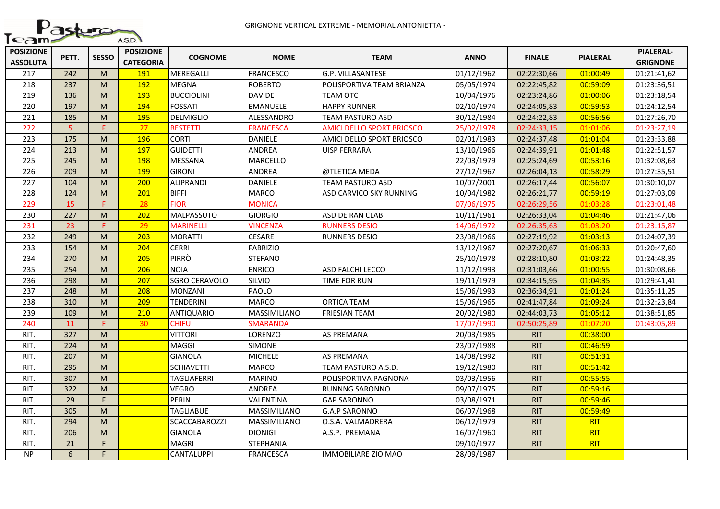

| <b>POSIZIONE</b><br><b>ASSOLUTA</b> | PETT.          | <b>SESSO</b> | <b>POSIZIONE</b><br><b>CATEGORIA</b> | <b>COGNOME</b>       | <b>NOME</b>      | <b>TEAM</b>                      | <b>ANNO</b> | <b>FINALE</b> | <b>PIALERAL</b> | <b>PIALERAL-</b><br><b>GRIGNONE</b> |
|-------------------------------------|----------------|--------------|--------------------------------------|----------------------|------------------|----------------------------------|-------------|---------------|-----------------|-------------------------------------|
| 217                                 | 242            | M            | 191                                  | MEREGALLI            | <b>FRANCESCO</b> | G.P. VILLASANTESE                | 01/12/1962  | 02:22:30,66   | 01:00:49        | 01:21:41,62                         |
| 218                                 | 237            | M            | 192                                  | <b>MEGNA</b>         | <b>ROBERTO</b>   | POLISPORTIVA TEAM BRIANZA        | 05/05/1974  | 02:22:45,82   | 00:59:09        | 01:23:36,51                         |
| 219                                 | 136            | M            | 193                                  | <b>BUCCIOLINI</b>    | <b>DAVIDE</b>    | <b>TEAM OTC</b>                  | 10/04/1976  | 02:23:24,86   | 01:00:06        | 01:23:18,54                         |
| 220                                 | 197            | M            | 194                                  | <b>FOSSATI</b>       | <b>EMANUELE</b>  | <b>HAPPY RUNNER</b>              | 02/10/1974  | 02:24:05,83   | 00:59:53        | 01:24:12,54                         |
| 221                                 | 185            | M            | 195                                  | <b>DELMIGLIO</b>     | ALESSANDRO       | TEAM PASTURO ASD                 | 30/12/1984  | 02:24:22,83   | 00:56:56        | 01:27:26,70                         |
| 222                                 | $\overline{5}$ | F.           | 27                                   | <b>BESTETTI</b>      | <b>FRANCESCA</b> | <b>AMICI DELLO SPORT BRIOSCO</b> | 25/02/1978  | 02:24:33,15   | 01:01:06        | 01:23:27,19                         |
| 223                                 | 175            | M            | 196                                  | <b>CORTI</b>         | <b>DANIELE</b>   | AMICI DELLO SPORT BRIOSCO        | 02/01/1983  | 02:24:37,48   | 01:01:04        | 01:23:33,88                         |
| 224                                 | 213            | M            | 197                                  | <b>GUIDETTI</b>      | ANDREA           | <b>UISP FERRARA</b>              | 13/10/1966  | 02:24:39,91   | 01:01:48        | 01:22:51,57                         |
| 225                                 | 245            | M            | 198                                  | <b>MESSANA</b>       | MARCELLO         |                                  | 22/03/1979  | 02:25:24,69   | 00:53:16        | 01:32:08,63                         |
| 226                                 | 209            | M            | 199                                  | <b>GIRONI</b>        | ANDREA           | @TLETICA MEDA                    | 27/12/1967  | 02:26:04,13   | 00:58:29        | 01:27:35,51                         |
| 227                                 | 104            | M            | 200                                  | <b>ALIPRANDI</b>     | <b>DANIELE</b>   | <b>TEAM PASTURO ASD</b>          | 10/07/2001  | 02:26:17,44   | 00:56:07        | 01:30:10,07                         |
| 228                                 | 124            | M            | 201                                  | <b>BIFFI</b>         | <b>MARCO</b>     | ASD CARVICO SKY RUNNING          | 10/04/1982  | 02:26:21,77   | 00:59:19        | 01:27:03,09                         |
| 229                                 | 15             | F.           | 28                                   | <b>FIOR</b>          | <b>MONICA</b>    |                                  | 07/06/1975  | 02:26:29,56   | 01:03:28        | 01:23:01,48                         |
| 230                                 | 227            | M            | 202                                  | <b>MALPASSUTO</b>    | <b>GIORGIO</b>   | ASD DE RAN CLAB                  | 10/11/1961  | 02:26:33,04   | 01:04:46        | 01:21:47,06                         |
| 231                                 | 23             | E            | 29                                   | <b>MARINELLI</b>     | <b>VINCENZA</b>  | <b>RUNNERS DESIO</b>             | 14/06/1972  | 02:26:35,63   | 01:03:20        | 01:23:15,87                         |
| 232                                 | 249            | M            | 203                                  | <b>MORATTI</b>       | <b>CESARE</b>    | <b>RUNNERS DESIO</b>             | 23/08/1966  | 02:27:19,92   | 01:03:13        | 01:24:07,39                         |
| 233                                 | 154            | M            | 204                                  | <b>CERRI</b>         | <b>FABRIZIO</b>  |                                  | 13/12/1967  | 02:27:20,67   | 01:06:33        | 01:20:47,60                         |
| 234                                 | 270            | M            | 205                                  | <b>PIRRÒ</b>         | <b>STEFANO</b>   |                                  | 25/10/1978  | 02:28:10,80   | 01:03:22        | 01:24:48,35                         |
| 235                                 | 254            | M            | 206                                  | <b>NOIA</b>          | <b>ENRICO</b>    | ASD FALCHI LECCO                 | 11/12/1993  | 02:31:03,66   | 01:00:55        | 01:30:08,66                         |
| 236                                 | 298            | M            | 207                                  | <b>SGRO CERAVOLO</b> | <b>SILVIO</b>    | TIME FOR RUN                     | 19/11/1979  | 02:34:15,95   | 01:04:35        | 01:29:41,41                         |
| 237                                 | 248            | M            | 208                                  | <b>MONZANI</b>       | <b>PAOLO</b>     |                                  | 15/06/1993  | 02:36:34,91   | 01:01:24        | 01:35:11,25                         |
| 238                                 | 310            | M            | 209                                  | TENDERINI            | <b>MARCO</b>     | <b>ORTICA TEAM</b>               | 15/06/1965  | 02:41:47,84   | 01:09:24        | 01:32:23,84                         |
| 239                                 | 109            | M            | 210                                  | <b>ANTIQUARIO</b>    | MASSIMILIANO     | <b>FRIESIAN TEAM</b>             | 20/02/1980  | 02:44:03,73   | 01:05:12        | 01:38:51,85                         |
| 240                                 | 11             | F.           | 30                                   | <b>CHIFU</b>         | <b>SMARANDA</b>  |                                  | 17/07/1990  | 02:50:25,89   | 01:07:20        | 01:43:05,89                         |
| RIT.                                | 327            | M            |                                      | <b>VITTORI</b>       | LORENZO          | <b>AS PREMANA</b>                | 20/03/1985  | <b>RIT</b>    | 00:38:00        |                                     |
| RIT.                                | 224            | M            |                                      | MAGGI                | <b>SIMONE</b>    |                                  | 23/07/1988  | <b>RIT</b>    | 00:46:59        |                                     |
| RIT.                                | 207            | M            |                                      | <b>GIANOLA</b>       | <b>MICHELE</b>   | <b>AS PREMANA</b>                | 14/08/1992  | <b>RIT</b>    | 00:51:31        |                                     |
| RIT.                                | 295            | M            |                                      | <b>SCHIAVETTI</b>    | <b>MARCO</b>     | TEAM PASTURO A.S.D.              | 19/12/1980  | <b>RIT</b>    | 00:51:42        |                                     |
| RIT.                                | 307            | M            |                                      | <b>TAGLIAFERRI</b>   | <b>MARINO</b>    | POLISPORTIVA PAGNONA             | 03/03/1956  | <b>RIT</b>    | 00:55:55        |                                     |
| RIT.                                | 322            | M            |                                      | VEGRO                | ANDREA           | RUNNNG SARONNO                   | 09/07/1975  | <b>RIT</b>    | 00:59:16        |                                     |
| RIT.                                | 29             | F.           |                                      | <b>PERIN</b>         | VALENTINA        | <b>GAP SARONNO</b>               | 03/08/1971  | <b>RIT</b>    | 00:59:46        |                                     |
| RIT.                                | 305            | M            |                                      | <b>TAGLIABUE</b>     | MASSIMILIANO     | <b>G.A.P SARONNO</b>             | 06/07/1968  | <b>RIT</b>    | 00:59:49        |                                     |
| RIT.                                | 294            | M            |                                      | <b>SCACCABAROZZI</b> | MASSIMILIANO     | O.S.A. VALMADRERA                | 06/12/1979  | <b>RIT</b>    | <b>RIT</b>      |                                     |
| RIT.                                | 206            | M            |                                      | <b>GIANOLA</b>       | <b>DIONIGI</b>   | A.S.P. PREMANA                   | 16/07/1960  | <b>RIT</b>    | <b>RIT</b>      |                                     |
| RIT.                                | 21             | F.           |                                      | <b>MAGRI</b>         | <b>STEPHANIA</b> |                                  | 09/10/1977  | <b>RIT</b>    | <b>RIT</b>      |                                     |
| NP                                  | 6              | F.           |                                      | <b>CANTALUPPI</b>    | <b>FRANCESCA</b> | <b>IMMOBILIARE ZIO MAO</b>       | 28/09/1987  |               |                 |                                     |